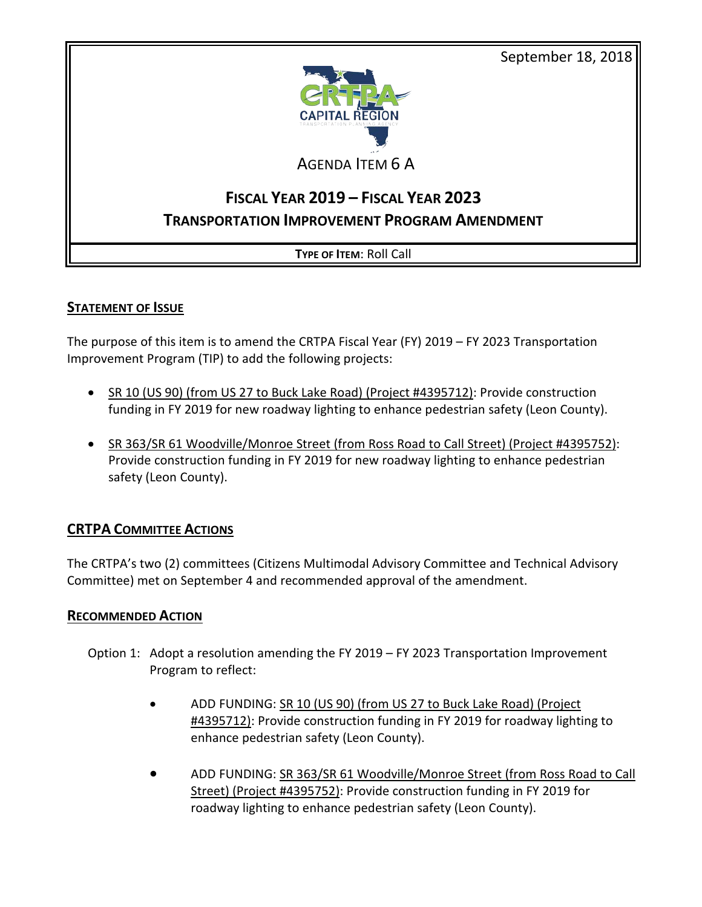September 18, 2018



# AGENDA ITEM 6 A

# **FISCAL YEAR 2019 – FISCAL YEAR 2023 TRANSPORTATION IMPROVEMENT PROGRAM AMENDMENT**

## **TYPE OF ITEM**: Roll Call

## **STATEMENT OF ISSUE**

The purpose of this item is to amend the CRTPA Fiscal Year (FY) 2019 – FY 2023 Transportation Improvement Program (TIP) to add the following projects:

- SR 10 (US 90) (from US 27 to Buck Lake Road) (Project #4395712): Provide construction funding in FY 2019 for new roadway lighting to enhance pedestrian safety (Leon County).
- SR 363/SR 61 Woodville/Monroe Street (from Ross Road to Call Street) (Project #4395752): Provide construction funding in FY 2019 for new roadway lighting to enhance pedestrian safety (Leon County).

# **CRTPA COMMITTEE ACTIONS**

The CRTPA's two (2) committees (Citizens Multimodal Advisory Committee and Technical Advisory Committee) met on September 4 and recommended approval of the amendment.

### **RECOMMENDED ACTION**

- Option 1: Adopt a resolution amending the FY 2019 FY 2023 Transportation Improvement Program to reflect:
	- ADD FUNDING: SR 10 (US 90) (from US 27 to Buck Lake Road) (Project #4395712): Provide construction funding in FY 2019 for roadway lighting to enhance pedestrian safety (Leon County).
	- ADD FUNDING: SR 363/SR 61 Woodville/Monroe Street (from Ross Road to Call Street) (Project #4395752): Provide construction funding in FY 2019 for roadway lighting to enhance pedestrian safety (Leon County).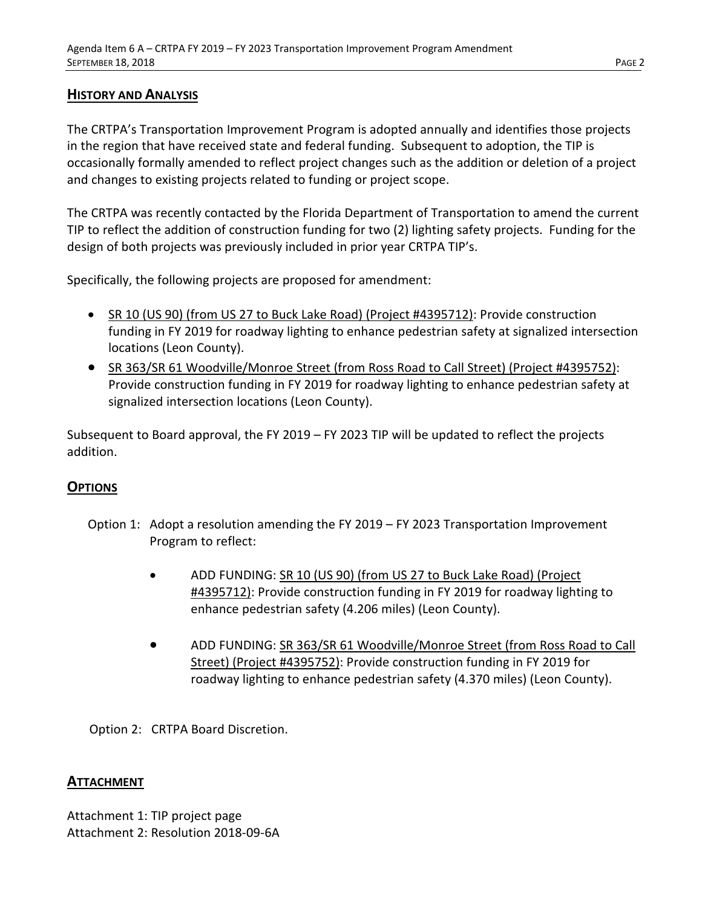### **HISTORY AND ANALYSIS**

The CRTPA's Transportation Improvement Program is adopted annually and identifies those projects in the region that have received state and federal funding. Subsequent to adoption, the TIP is occasionally formally amended to reflect project changes such as the addition or deletion of a project and changes to existing projects related to funding or project scope.

The CRTPA was recently contacted by the Florida Department of Transportation to amend the current TIP to reflect the addition of construction funding for two (2) lighting safety projects. Funding for the design of both projects was previously included in prior year CRTPA TIP's.

Specifically, the following projects are proposed for amendment:

- SR 10 (US 90) (from US 27 to Buck Lake Road) (Project #4395712): Provide construction funding in FY 2019 for roadway lighting to enhance pedestrian safety at signalized intersection locations (Leon County).
- SR 363/SR 61 Woodville/Monroe Street (from Ross Road to Call Street) (Project #4395752): Provide construction funding in FY 2019 for roadway lighting to enhance pedestrian safety at signalized intersection locations (Leon County).

Subsequent to Board approval, the FY 2019 – FY 2023 TIP will be updated to reflect the projects addition.

### **OPTIONS**

- Option 1: Adopt a resolution amending the FY 2019 FY 2023 Transportation Improvement Program to reflect:
	- ADD FUNDING: SR 10 (US 90) (from US 27 to Buck Lake Road) (Project #4395712): Provide construction funding in FY 2019 for roadway lighting to enhance pedestrian safety (4.206 miles) (Leon County).
	- ADD FUNDING: SR 363/SR 61 Woodville/Monroe Street (from Ross Road to Call Street) (Project #4395752): Provide construction funding in FY 2019 for roadway lighting to enhance pedestrian safety (4.370 miles) (Leon County).

Option 2: CRTPA Board Discretion.

#### **ATTACHMENT**

Attachment 1: TIP project page Attachment 2: Resolution 2018-09-6A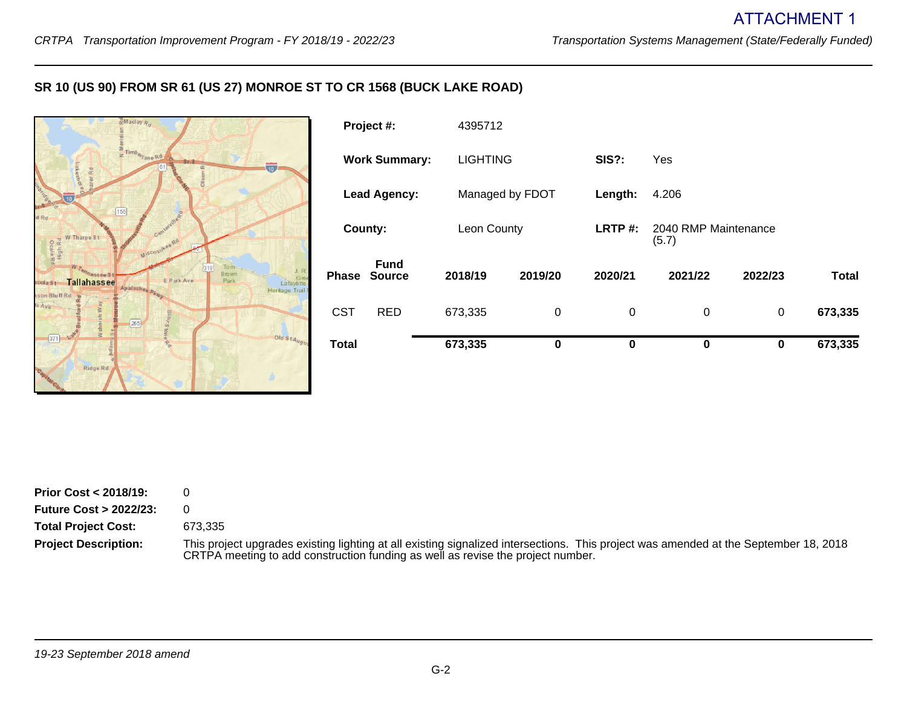#### **SR 10 (US 90) FROM SR 61 (US 27) MONROE ST TO CR 1568 (BUCK LAKE ROAD)**



| <b>Total</b>         |                              | 673,335         | $\bf{0}$    | 0           | 0                             | $\bf{0}$ | 673,335      |
|----------------------|------------------------------|-----------------|-------------|-------------|-------------------------------|----------|--------------|
| <b>CST</b>           | <b>RED</b>                   | 673,335         | $\mathbf 0$ | $\mathbf 0$ | $\mathbf 0$                   | 0        | 673,335      |
| Phase                | <b>Fund</b><br><b>Source</b> | 2018/19         | 2019/20     | 2020/21     | 2021/22                       | 2022/23  | <b>Total</b> |
| County:              |                              | Leon County     |             | LRTP $#$ :  | 2040 RMP Maintenance<br>(5.7) |          |              |
| <b>Lead Agency:</b>  |                              | Managed by FDOT |             | Length:     | 4.206                         |          |              |
| <b>Work Summary:</b> |                              | <b>LIGHTING</b> |             | SIS?:       | Yes                           |          |              |
| Project #:           |                              | 4395712         |             |             |                               |          |              |

| <b>Prior Cost &lt; 2018/19:</b>  | U         |
|----------------------------------|-----------|
| <b>Future Cost &gt; 2022/23:</b> | 0         |
| <b>Total Project Cost:</b>       | 673.335   |
| <b>Project Description:</b>      | This proj |

This project upgrades existing lighting at all existing signalized intersections. This project was amended at the September 18, 2018 CRTPA meeting to add construction funding as well as revise the project number.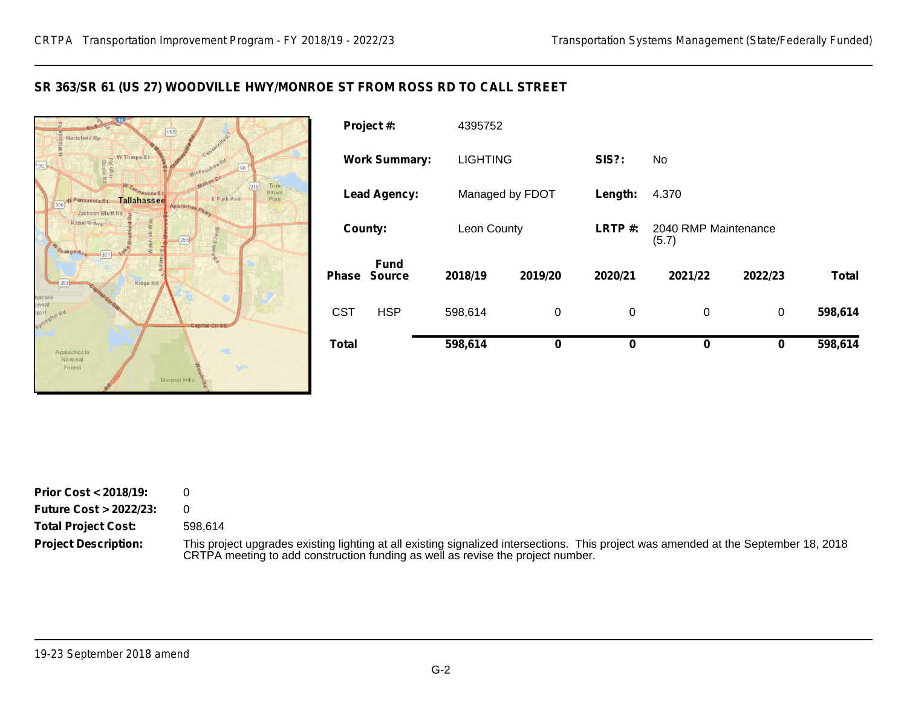#### **SR 363/SR 61 (US 27) WOODVILLE HWY/MONROE ST FROM ROSS RD TO CALL STREET**



| <b>Total</b>         |                              | 598,614         | 0       | 0           | 0                             | 0       | 598,614      |
|----------------------|------------------------------|-----------------|---------|-------------|-------------------------------|---------|--------------|
| <b>CST</b>           | <b>HSP</b>                   | 598,614         | 0       | $\mathbf 0$ | 0                             | 0       | 598,614      |
| Phase                | <b>Fund</b><br><b>Source</b> | 2018/19         | 2019/20 | 2020/21     | 2021/22                       | 2022/23 | <b>Total</b> |
| County:              |                              | Leon County     |         | LRTP#:      | 2040 RMP Maintenance<br>(5.7) |         |              |
| <b>Lead Agency:</b>  |                              | Managed by FDOT |         | Length:     | 4.370                         |         |              |
| <b>Work Summary:</b> |                              | <b>LIGHTING</b> |         | SIS?:       | No.                           |         |              |
|                      | Project #:                   | 4395752         |         |             |                               |         |              |

| <b>Prior Cost &lt; 2018/19:</b>  | 0         |
|----------------------------------|-----------|
| <b>Future Cost &gt; 2022/23:</b> | 0         |
| <b>Total Project Cost:</b>       | 598,614   |
| <b>Project Description:</b>      | This proj |

This project upgrades existing lighting at all existing signalized intersections. This project was amended at the September 18, 2018 CRTPA meeting to add construction funding as well as revise the project number.